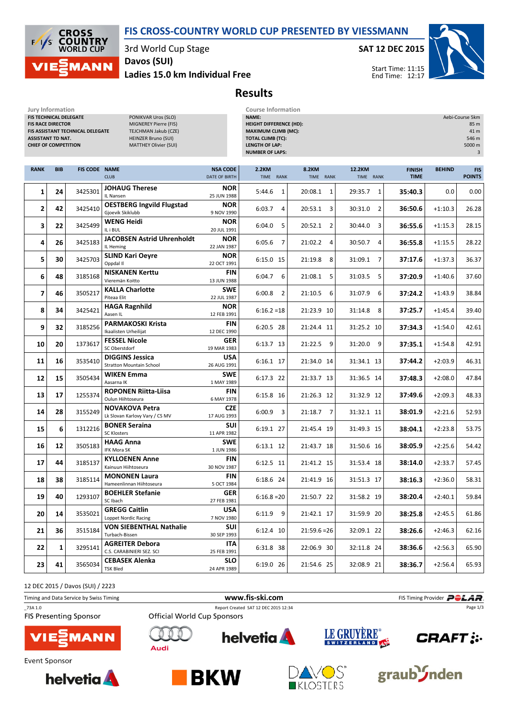## FIS CROSS-COUNTRY WORLD CUP PRESENTED BY VIESSMANN

CROSS **COUNTRY**<br>WORLD CUP  $F$ **MANN** 

3rd World Cup Stage

Jury Information Course Information

Ladies 15.0 km Individual Free Davos (SUI)

## SAT 12 DEC 2015



## Results

| FIS TECHNICAL DELEGATE<br>PONIKVAR Uros (SLO)<br><b>FIS RACE DIRECTOR</b><br>MIGNEREY Pierre (FIS)<br>FIS ASSISTANT TECHNICAL DELEGATE<br>TEJCHMAN Jakub (CZE)<br><b>HEINZER Bruno (SUI)</b><br><b>ASSISTANT TD NAT.</b><br><b>MATTHEY Olivier (SUI)</b><br><b>CHIEF OF COMPETITION</b> |            |                      |                                                           |                                  | Aebi-Course 5km<br>NAME:<br><b>HEIGHT DIFFERENCE (HD):</b><br>85 m<br><b>MAXIMUM CLIMB (MC):</b><br>41 m<br><b>TOTAL CLIMB (TC):</b><br>546 m<br><b>LENGTH OF LAP:</b><br>5000 m<br><b>NUMBER OF LAPS:</b> |                           |                           |                              |               |                             |
|-----------------------------------------------------------------------------------------------------------------------------------------------------------------------------------------------------------------------------------------------------------------------------------------|------------|----------------------|-----------------------------------------------------------|----------------------------------|------------------------------------------------------------------------------------------------------------------------------------------------------------------------------------------------------------|---------------------------|---------------------------|------------------------------|---------------|-----------------------------|
| <b>RANK</b>                                                                                                                                                                                                                                                                             | <b>BIB</b> | <b>FIS CODE NAME</b> | <b>CLUB</b>                                               | <b>NSA CODE</b><br>DATE OF BIRTH | 2.2KM<br>TIME RANK                                                                                                                                                                                         | <b>8.2KM</b><br>TIME RANK | 12.2KM<br>TIME RANK       | <b>FINISH</b><br><b>TIME</b> | <b>BEHIND</b> | <b>FIS</b><br><b>POINTS</b> |
| 1                                                                                                                                                                                                                                                                                       | 24         | 3425301              | <b>JOHAUG Therese</b><br>IL Nansen                        | <b>NOR</b><br>25 JUN 1988        | 5:44.6<br>1                                                                                                                                                                                                | 20:08.1<br>1              | $\mathbf{1}$<br>29:35.7   | 35:40.3                      | 0.0           | 0.00                        |
| 2                                                                                                                                                                                                                                                                                       | 42         | 3425410              | <b>OESTBERG Ingvild Flugstad</b><br>Gioevik Skiklubb      | <b>NOR</b><br>9 NOV 1990         | 6:03.7<br>4                                                                                                                                                                                                | 20:53.1<br>3              | $\overline{2}$<br>30:31.0 | 36:50.6                      | $+1:10.3$     | 26.28                       |
| 3                                                                                                                                                                                                                                                                                       | 22         | 3425499              | <b>WENG Heidi</b><br>IL i BUL                             | <b>NOR</b><br>20 JUL 1991        | 6:04.0<br>5                                                                                                                                                                                                | 20:52.1<br>2              | 30:44.0<br>3              | 36:55.6                      | $+1:15.3$     | 28.15                       |
| 4                                                                                                                                                                                                                                                                                       | 26         | 3425183              | <b>JACOBSEN Astrid Uhrenholdt</b><br>IL Heming            | <b>NOR</b><br>22 JAN 1987        | $6:05.6$ 7                                                                                                                                                                                                 | 21:02.2<br>$\overline{4}$ | 30:50.7<br>$\overline{4}$ | 36:55.8                      | $+1:15.5$     | 28.22                       |
| 5                                                                                                                                                                                                                                                                                       | 30         | 3425703              | <b>SLIND Kari Oeyre</b><br>Oppdal II                      | <b>NOR</b><br>22 OCT 1991        | 6:15.0 15                                                                                                                                                                                                  | 21:19.8<br>8              | 7<br>31:09.1              | 37:17.6                      | $+1:37.3$     | 36.37                       |
| 6                                                                                                                                                                                                                                                                                       | 48         | 3185168              | <b>NISKANEN Kerttu</b><br>Vieremän Koitto                 | <b>FIN</b><br>13 JUN 1988        | 6:04.7<br>6                                                                                                                                                                                                | 21:08.1<br>5              | 31:03.5<br>5              | 37:20.9                      | $+1:40.6$     | 37.60                       |
| 7                                                                                                                                                                                                                                                                                       | 46         | 3505217              | <b>KALLA Charlotte</b><br>Piteaa Elit                     | <b>SWE</b><br>22 JUL 1987        | $6:00.8$ 2                                                                                                                                                                                                 | 21:10.5<br>6              | 31:07.9<br>6              | 37:24.2                      | $+1:43.9$     | 38.84                       |
| 8                                                                                                                                                                                                                                                                                       | 34         | 3425421              | <b>HAGA Ragnhild</b><br>Aasen IL                          | <b>NOR</b><br>12 FEB 1991        | $6:16.2=18$                                                                                                                                                                                                | 21:23.9 10                | 31:14.8<br>- 8            | 37:25.7                      | $+1:45.4$     | 39.40                       |
| 9                                                                                                                                                                                                                                                                                       | 32         | 3185256              | <b>PARMAKOSKI Krista</b><br>Ikaalisten Urheilijat         | <b>FIN</b><br>12 DEC 1990        | 6:20.5 28                                                                                                                                                                                                  | 21:24.4 11                | 31:25.2 10                | 37:34.3                      | $+1:54.0$     | 42.61                       |
| 10                                                                                                                                                                                                                                                                                      | 20         | 1373617              | <b>FESSEL Nicole</b><br>SC Oberstdorf                     | <b>GER</b><br>19 MAR 1983        | 6:13.7 13                                                                                                                                                                                                  | 21:22.5 9                 | 31:20.0<br>9              | 37:35.1                      | $+1:54.8$     | 42.91                       |
| 11                                                                                                                                                                                                                                                                                      | 16         | 3535410              | <b>DIGGINS Jessica</b><br><b>Stratton Mountain School</b> | <b>USA</b><br>26 AUG 1991        | 6:16.1 17                                                                                                                                                                                                  | 21:34.0 14                | 31:34.1 13                | 37:44.2                      | $+2:03.9$     | 46.31                       |
| 12                                                                                                                                                                                                                                                                                      | 15         | 3505434              | <b>WIKEN Emma</b><br>Aasarna IK                           | <b>SWE</b><br>1 MAY 1989         | 6:17.3 22                                                                                                                                                                                                  | 21:33.7 13                | 31:36.5 14                | 37:48.3                      | $+2:08.0$     | 47.84                       |
| 13                                                                                                                                                                                                                                                                                      | 17         | 1255374              | <b>ROPONEN Riitta-Liisa</b><br>Oulun Hiihtoseura          | <b>FIN</b><br>6 MAY 1978         | 6:15.8 16                                                                                                                                                                                                  | 21:26.3 12                | 31:32.9 12                | 37:49.6                      | $+2:09.3$     | 48.33                       |
| 14                                                                                                                                                                                                                                                                                      | 28         | 3155249              | <b>NOVAKOVA Petra</b><br>Lk Slovan Karlovy Vary / CS MV   | <b>CZE</b><br>17 AUG 1993        | $6:00.9$ 3                                                                                                                                                                                                 | 21:18.7 7                 | 31:32.1 11                | 38:01.9                      | $+2:21.6$     | 52.93                       |
| 15                                                                                                                                                                                                                                                                                      | 6          | 1312216              | <b>BONER Seraina</b><br><b>SC Klosters</b>                | <b>SUI</b><br>11 APR 1982        | 6:19.1 27                                                                                                                                                                                                  | 21:45.4 19                | 31:49.3 15                | 38:04.1                      | $+2:23.8$     | 53.75                       |
| 16                                                                                                                                                                                                                                                                                      | 12         | 3505183              | <b>HAAG Anna</b><br>IFK Mora SK                           | SWE<br>1 JUN 1986                | 6:13.1 12                                                                                                                                                                                                  | 21:43.7 18                | 31:50.6 16                | 38:05.9                      | $+2:25.6$     | 54.42                       |
| 17                                                                                                                                                                                                                                                                                      | 44         | 3185137              | <b>KYLLOENEN Anne</b><br>Kainuun Hiihtoseura              | <b>FIN</b><br>30 NOV 1987        | 6:12.5 11                                                                                                                                                                                                  | 21:41.2 15                | 31:53.4 18                | 38:14.0                      | $+2:33.7$     | 57.45                       |
| 18                                                                                                                                                                                                                                                                                      | 38         | 3185114              | <b>MONONEN Laura</b><br>Hameenlinnan Hiihtoseura          | <b>FIN</b><br>5 OCT 1984         | 6:18.6 24                                                                                                                                                                                                  | 21:41.9 16                | 31:51.3 17                | 38:16.3                      | $+2:36.0$     | 58.31                       |
| 19                                                                                                                                                                                                                                                                                      | 40         | 1293107              | <b>BOEHLER Stefanie</b><br>SC Ibach                       | <b>GER</b><br>27 FEB 1981        | $6:16.8=20$                                                                                                                                                                                                | 21:50.7 22                | 31:58.2 19                | 38:20.4                      | $+2:40.1$     | 59.84                       |
| 20                                                                                                                                                                                                                                                                                      | 14         | 3535021              | <b>GREGG Caitlin</b><br>Loppet Nordic Racing              | <b>USA</b><br>7 NOV 1980         | $6:11.9$ 9                                                                                                                                                                                                 | 21:42.1 17                | 31:59.9 20                | 38:25.8                      | $+2:45.5$     | 61.86                       |
| 21                                                                                                                                                                                                                                                                                      | 36         | 3515184              | <b>VON SIEBENTHAL Nathalie</b><br>Turbach-Bissen          | SUI<br>30 SEP 1993               | 6:12.4 10                                                                                                                                                                                                  | $21:59.6=26$              | 32:09.1 22                | 38:26.6                      | $+2:46.3$     | 62.16                       |
| 22                                                                                                                                                                                                                                                                                      | 1          | 3295141              | <b>AGREITER Debora</b><br>C.S. CARABINIERI SEZ. SCI       | ITA.<br>25 FEB 1991              | 6:31.8 38                                                                                                                                                                                                  | 22:06.9 30                | 32:11.8 24                | 38:36.6                      | $+2:56.3$     | 65.90                       |
| 23                                                                                                                                                                                                                                                                                      | 41         | 3565034              | <b>CEBASEK Alenka</b><br><b>TSK Bled</b>                  | <b>SLO</b><br>24 APR 1989        | 6:19.0 26                                                                                                                                                                                                  | 21:54.6 25                | 32:08.9 21                | 38:36.7                      | $+2:56.4$     | 65.93                       |

12 DEC 2015 / Davos (SUI) / 2223

Timing and Data Service by Swiss Timing **Filter and Data Service by Swiss Timing Provider PCLAR** \_73A 1.0 Report Created SAT 12 DEC 2015 12:34 Page 1/3**FIS Presenting Sponsor Official World Cup Sponsors** LE GRUYÈRE® **helvetia** 1ANN **CRAFT** :.. **Audi Event Sponsor** 







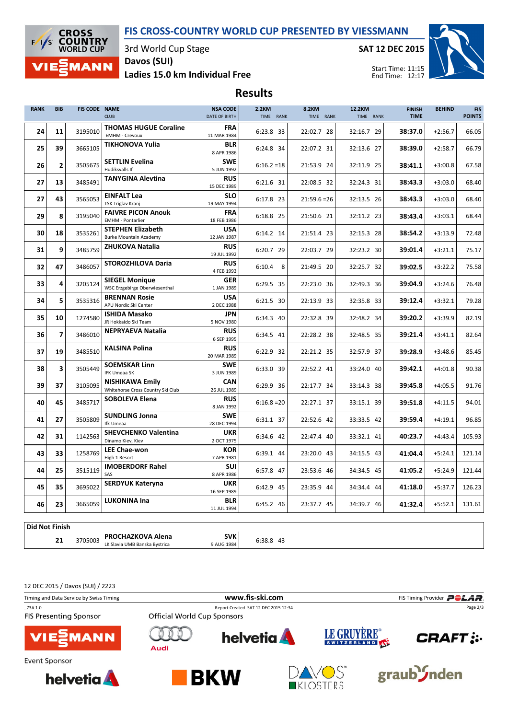## FIS CROSS-COUNTRY WORLD CUP PRESENTED BY VIESSMANN



3rd World Cup Stage

SAT 12 DEC 2015



Ladies 15.0 km Individual Free Davos (SUI)

Results

| <b>RANK</b> | <b>BIB</b>     | FIS CODE NAME | <b>CLUB</b>                                                 | <b>NSA CODE</b><br>DATE OF BIRTH | <b>2.2KM</b><br>TIME RANK | 8.2KM<br>TIME RANK | 12.2KM<br>TIME RANK | <b>FINISH</b><br><b>TIME</b> | <b>BEHIND</b> | <b>FIS</b><br><b>POINTS</b> |
|-------------|----------------|---------------|-------------------------------------------------------------|----------------------------------|---------------------------|--------------------|---------------------|------------------------------|---------------|-----------------------------|
| 24          | 11             | 3195010       | <b>THOMAS HUGUE Coraline</b><br><b>EMHM - Crevoux</b>       | <b>FRA</b><br>11 MAR 1984        | 6:23.8 33                 | 22:02.7 28         | 32:16.7 29          | 38:37.0                      | $+2:56.7$     | 66.05                       |
| 25          | 39             | 3665105       | <b>TIKHONOVA Yulia</b>                                      | <b>BLR</b><br>8 APR 1986         | 6:24.8 34                 | 22:07.2 31         | 32:13.6 27          | 38:39.0                      | $+2:58.7$     | 66.79                       |
| 26          | $\overline{2}$ | 3505675       | <b>SETTLIN Evelina</b><br>Hudiksvalls If                    | <b>SWE</b><br>5 JUN 1992         | $6:16.2=18$               | 21:53.9 24         | 32:11.9 25          | 38:41.1                      | $+3:00.8$     | 67.58                       |
| 27          | 13             | 3485491       | <b>TANYGINA Alevtina</b>                                    | <b>RUS</b><br>15 DEC 1989        | 6:21.6 31                 | 22:08.5 32         | 32:24.3 31          | 38:43.3                      | $+3:03.0$     | 68.40                       |
| 27          | 43             | 3565053       | <b>EINFALT Lea</b><br><b>TSK Triglav Kranj</b>              | <b>SLO</b><br>19 MAY 1994        | 6:17.8 23                 | $21:59.6=26$       | 32:13.5 26          | 38:43.3                      | $+3:03.0$     | 68.40                       |
| 29          | 8              | 3195040       | <b>FAIVRE PICON Anouk</b><br><b>EMHM - Pontarlier</b>       | <b>FRA</b><br>18 FEB 1986        | 6:18.8 25                 | 21:50.6 21         | 32:11.2 23          | 38:43.4                      | $+3:03.1$     | 68.44                       |
| 30          | 18             | 3535261       | <b>STEPHEN Elizabeth</b><br><b>Burke Mountain Academy</b>   | <b>USA</b><br>12 JAN 1987        | 6:14.2 14                 | 21:51.4 23         | 32:15.3 28          | 38:54.2                      | $+3:13.9$     | 72.48                       |
| 31          | 9              | 3485759       | <b>ZHUKOVA Natalia</b>                                      | <b>RUS</b><br>19 JUL 1992        | 6:20.7 29                 | 22:03.7 29         | 32:23.2 30          | 39:01.4                      | $+3:21.1$     | 75.17                       |
| 32          | 47             | 3486057       | <b>STOROZHILOVA Daria</b>                                   | <b>RUS</b><br>4 FEB 1993         | $6:10.4$ 8                | 21:49.5 20         | 32:25.7 32          | 39:02.5                      | $+3:22.2$     | 75.58                       |
| 33          | 4              | 3205124       | <b>SIEGEL Monique</b><br>WSC Erzgebirge Oberwiesenthal      | <b>GER</b><br>1 JAN 1989         | 6:29.5 35                 | 22:23.0 36         | 32:49.3 36          | 39:04.9                      | $+3:24.6$     | 76.48                       |
| 34          | 5              | 3535316       | <b>BRENNAN Rosie</b><br>APU Nordic Ski Center               | <b>USA</b><br>2 DEC 1988         | 6:21.5 30                 | 22:13.9 33         | 32:35.8 33          | 39:12.4                      | $+3:32.1$     | 79.28                       |
| 35          | 10             | 1274580       | <b>ISHIDA Masako</b><br>JR Hokkaido Ski Team                | <b>JPN</b><br>5 NOV 1980         | 6:34.3 40                 | 22:32.8 39         | 32:48.2 34          | 39:20.2                      | $+3:39.9$     | 82.19                       |
| 36          | $\overline{ }$ | 3486010       | <b>NEPRYAEVA Natalia</b>                                    | <b>RUS</b><br>6 SEP 1995         | 6:34.5 41                 | 22:28.2 38         | 32:48.5 35          | 39:21.4                      | $+3:41.1$     | 82.64                       |
| 37          | 19             | 3485510       | <b>KALSINA Polina</b>                                       | <b>RUS</b><br>20 MAR 1989        | 6:22.9 32                 | 22:21.2 35         | 32:57.9 37          | 39:28.9                      | $+3:48.6$     | 85.45                       |
| 38          | 3              | 3505449       | <b>SOEMSKAR Linn</b><br><b>IFK Umeaa SK</b>                 | <b>SWE</b><br>3 JUN 1989         | 6:33.0 39                 | 22:52.2 41         | 33:24.0 40          | 39:42.1                      | $+4:01.8$     | 90.38                       |
| 39          | 37             | 3105095       | <b>NISHIKAWA Emily</b><br>Whitehorse Cross Country Ski Club | <b>CAN</b><br>26 JUL 1989        | 6:29.9 36                 | 22:17.7 34         | 33:14.3 38          | 39:45.8                      | $+4:05.5$     | 91.76                       |
| 40          | 45             | 3485717       | <b>SOBOLEVA Elena</b>                                       | <b>RUS</b><br>8 JAN 1992         | $6:16.8=20$               | 22:27.1 37         | 33:15.1 39          | 39:51.8                      | $+4:11.5$     | 94.01                       |
| 41          | 27             | 3505809       | <b>SUNDLING Jonna</b><br>Ifk Umeaa                          | <b>SWE</b><br>28 DEC 1994        | 6:31.1 37                 | 22:52.6 42         | 33:33.5 42          | 39:59.4                      | $+4:19.1$     | 96.85                       |
| 42          | 31             | 1142563       | <b>SHEVCHENKO Valentina</b><br>Dinamo Kiev, Kiev            | <b>UKR</b><br>2 OCT 1975         | 6:34.6 42                 | 22:47.4 40         | 33:32.1 41          | 40:23.7                      | $+4:43.4$     | 105.93                      |
| 43          | 33             | 1258769       | <b>LEE Chae-won</b><br>High 1 Resort                        | <b>KOR</b><br>7 APR 1981         | 6:39.1 44                 | 23:20.0 43         | 34:15.5 43          | 41:04.4                      | $+5:24.1$     | 121.14                      |
| 44          | 25             | 3515119       | <b>IMOBERDORF Rahel</b><br>SAS                              | <b>SUI</b><br>8 APR 1986         | 6:57.8 47                 | 23:53.6 46         | 34:34.5 45          | 41:05.2                      | $+5:24.9$     | 121.44                      |
| 45          | 35             | 3695022       | <b>SERDYUK Kateryna</b>                                     | <b>UKR</b><br>16 SEP 1989        | 6:42.9 45                 | 23:35.9 44         | 34:34.4 44          | 41:18.0                      | $+5:37.7$     | 126.23                      |
| 46          | 23             | 3665059       | <b>LUKONINA Ina</b>                                         | <b>BLR</b><br>11 JUL 1994        | 6:45.2 46                 | 23:37.7 45         | 34:39.7 46          | 41:32.4                      | $+5:52.1$     | 131.61                      |
|             |                |               |                                                             |                                  |                           |                    |                     |                              |               |                             |

Did Not Finish

21 LK Slavia UMB Banska Bystrica PROCHAZKOVA Alena SVK <sup>3705003</sup> 6:38.8 43

9 AUG 1984

12 DEC 2015 / Davos (SUI) / 2223

| Timing and Data Service by Swiss Timing  |                                    | FIS Timing Provider POLAR.           |                                  |                     |
|------------------------------------------|------------------------------------|--------------------------------------|----------------------------------|---------------------|
| 73A 1.0<br><b>FIS Presenting Sponsor</b> | <b>Official World Cup Sponsors</b> | Report Created SAT 12 DEC 2015 12:34 |                                  | Page 2/3            |
| <b>VIE EMANN</b>                         | Audi                               | <b>helvetia</b>                      | LE GRUYERE®                      | <b>CRAFT: :-</b>    |
| Event Sponsor<br><b>helvetia</b>         |                                    | <b>BKW</b>                           | WOS <sup>-</sup><br>$R$ KLOSTERS | graub <i>J</i> nden |